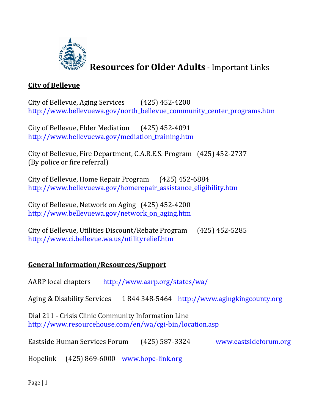

**Resources for Older Adults** - Important Links

# **City of Bellevue**

City of Bellevue, Aging Services (425) 452-4200 [http://www.bellevuewa.gov/north\\_bellevue\\_community\\_center\\_programs.htm](http://www.bellevuewa.gov/UserFiles/Servers/Server_4779004/file/north_bellevue_community_center_programs.htm)

City of Bellevue, Elder Mediation (425) 452-4091 [http://www.bellevuewa.gov/mediation\\_training.htm](http://www.bellevuewa.gov/UserFiles/Servers/Server_4779004/file/mediation_training.htm)

City of Bellevue, Fire Department, C.A.R.E.S. Program (425) 452-2737 (By police or fire referral)

City of Bellevue, Home Repair Program (425) 452-6884 [http://www.bellevuewa.gov/homerepair\\_assistance\\_eligibility.htm](http://www.bellevuewa.gov/UserFiles/Servers/Server_4779004/file/homerepair_assistance_eligibility.htm)

City of Bellevue, Network on Aging (425) 452-4200 [http://www.bellevuewa.gov/network\\_on\\_aging.htm](http://www.bellevuewa.gov/UserFiles/Servers/Server_4779004/file/network_on_aging.htm)

City of Bellevue, Utilities Discount/Rebate Program (425) 452-5285 <http://www.ci.bellevue.wa.us/utilityrelief.htm>

# **General Information/Resources/Support**

AARP local chapters <http://www.aarp.org/states/wa/>

Aging & Disability Services 1 844 348-5464 [http://www.agingkingcounty.org](http://www.agingkingcounty.org/)

Dial 211 - Crisis Clinic Community Information Line <http://www.resourcehouse.com/en/wa/cgi-bin/location.asp>

Eastside Human Services Forum (425) 587-3324 [www.eastsideforum.org](http://www.eastsideforum.org/)

Hopelink (425) 869-6000 [www.hope-link.org](http://www.hope-link.org/)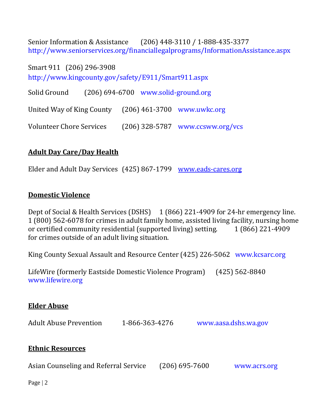Senior Information & Assistance (206) 448-3110 / 1-888-435-3377 <http://www.seniorservices.org/financiallegalprograms/InformationAssistance.aspx>

Smart 911 (206) 296-3908 <http://www.kingcounty.gov/safety/E911/Smart911.aspx>

Solid Ground (206) 694-6700 [www.solid-ground.org](http://www.solid-ground.org/)

United Way of King County (206) 461-3700 [www.uwkc.org](http://www.uwkc.org/)

Volunteer Chore Services (206) 328-5787 [www.ccsww.org/vcs](http://www.ccsww.org/vcs)

## **Adult Day Care/Day Health**

Elder and Adult Day Services (425) 867-1799 [www.eads-cares.org](http://www.eads-cares.org/)

### **Domestic Violence**

Dept of Social & Health Services (DSHS) 1 (866) 221-4909 for 24-hr emergency line. 1 (800) 562-6078 for crimes in adult family home, assisted living facility, nursing home or certified community residential (supported living) setting. 1 (866) 221-4909 for crimes outside of an adult living situation.

King County Sexual Assault and Resource Center (425) 226-5062 [www.kcsarc.org](http://www.kcsarc.org/)

LifeWire (formerly Eastside Domestic Violence Program) (425) 562-8840 [www.lifewire.org](http://www.lifewire.org/)

#### **Elder Abuse**

Adult Abuse Prevention 1-866-363-4276 [www.aasa.dshs.wa.gov](http://www.aasa.dshs.wa.gov/)

## **Ethnic Resources**

Asian Counseling and Referral Service (206) 695-7600 [www.acrs.org](http://www.acrs.org/)

Page | 2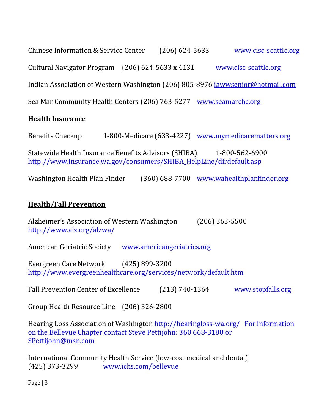Chinese Information & Service Center (206) 624-5633 [www.cisc-seattle.org](http://www.cisc-seattle.org/) Cultural Navigator Program (206) 624-5633 x 4131 [www.cisc-seattle.org](http://www.cisc-seattle.org/) Indian Association of Western Washington (206) 805-8976 [iawwsenior@hotmail.com](mailto:iawwsenior@hotmail.com) Sea Mar Community Health Centers (206) 763-5277 [www.seamarchc.org](http://www.seamarchc.org/)

## **Health Insurance**

Benefits Checkup 1-800-Medicare (633-4227) [www.mymedicarematters.org](http://www.mymedicarematters.org/) Statewide Health Insurance Benefits Advisors (SHIBA) 1-800-562-6900 [http://www.insurance.wa.gov/consumers/SHIBA\\_HelpLine/dirdefault.asp](http://www.insurance.wa.gov/consumers/SHIBA_HelpLine/dirdefault.asp)

Washington Health Plan Finder (360) 688-7700 [www.wahealthplanfinder.org](http://www.wahealthplanfinder.org/)

### **Health/Fall Prevention**

Alzheimer's Association of Western Washington (206) 363-5500 http://www.alz.org/alzwa/

American Geriatric Society [www.americangeriatrics.org](../../../Parks_Shared/REC/NBCC/Cathy/www.americangeriatrics.org)

Evergreen Care Network (425) 899-3200 <http://www.evergreenhealthcare.org/services/network/default.htm>

Fall Prevention Center of Excellence (213) 740-1364 [www.stopfalls.org](../../../Parks_Shared/REC/NBCC/Cathy/www.stopfalls.org)

Group Health Resource Line (206) 326-2800

Hearing Loss Association of Washington <http://hearingloss-wa.org/> For information on the Bellevue Chapter contact Steve Pettijohn: 360 668-3180 or SPettijohn@msn.com

International Community Health Service (low-cost medical and dental) (425) 373-3299 [www.ichs.com/bellevue](http://www.ichs.com/bellevue)

Page | 3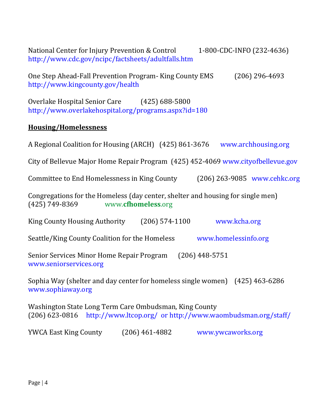National Center for Injury Prevention & Control 1-800-CDC-INFO (232-4636) <http://www.cdc.gov/ncipc/factsheets/adultfalls.htm> One Step Ahead-Fall Prevention Program- King County EMS (206) 296-4693 <http://www.kingcounty.gov/health> Overlake Hospital Senior Care (425) 688-5800 http://www.overlakehospital.org/programs.aspx?id=180 **Housing/Homelessness** A Regional Coalition for Housing (ARCH) (425) 861-3676 [www.archhousing.org](http://www.archhousing.org/) City of Bellevue Major Home Repair Program (425) 452-4069 [www.cityofbellevue.gov](http://www.cityofbellevue.gov/) Committee to End Homelessness in King County (206) 263-9085 [www.cehkc.org](http://www.cehkc.org/) Congregations for the Homeless (day center, shelter and housing for single men) (425) 749-8369 www.**cfhomeless**.org King County Housing Authority (206) 574-1100 [www.kcha.org](http://www.kcha.org/) Seattle/King County Coalition for the Homeless [www.homelessinfo.org](http://www.homelessinfo.org/) Senior Services Minor Home Repair Program (206) 448-5751 [www.seniorservices.org](http://www.seniorservices.org/) Sophia Way (shelter and day center for homeless single women) (425) 463-6286 [www.sophiaway.org](http://www.sophiaway.org/) Washington State Long Term Care Ombudsman, King County (206) 623-0816 <http://www.ltcop.org/> or http://www.waombudsman.org/staff/ YWCA East King County (206) 461-4882 [www.ywcaworks.org](http://www.ywcaworks.org/)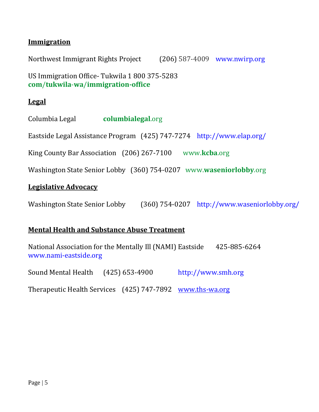## **Immigration**

Northwest Immigrant Rights Project (206) 587-4009 [www.nwirp.org](http://www.nwirp.org/)

US Immigration Office- Tukwila 1 800 375-5283 **com**/**tukwila**-**wa**/**immigration-office**

#### **Legal**

Columbia Legal **columbialegal**.org

Eastside Legal Assistance Program (425) 747-7274 <http://www.elap.org/>

King County Bar Association (206) 267-7100 www.**kcba**.org

Washington State Senior Lobby (360) 754-0207 www.**waseniorlobby**.org

#### **Legislative Advocacy**

Washington State Senior Lobby (360) 754-0207 http://www.waseniorlobby.org/

#### **Mental Health and Substance Abuse Treatment**

National Association for the Mentally Ill (NAMI) Eastside 425-885-6264 [www.nami-eastside.org](http://www.nami-eastside.org/)

Sound Mental Health (425) 653-4900 [http://www.smh.org](http://www.smh.org/) Therapeutic Health Services (425) 747-7892 [www.ths-wa.org](http://www.ths-wa.org/)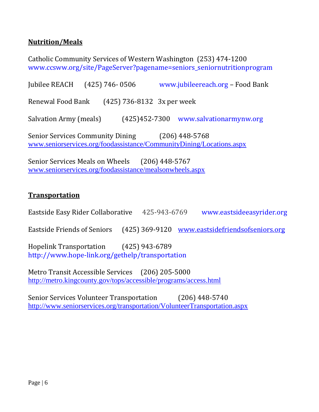## **Nutrition/Meals**

Catholic Community Services of Western Washington (253) 474-1200 [www.ccsww.org/site/PageServer?pagename=seniors\\_seniornutritionprogram](http://www.ccsww.org/site/PageServer?pagename=seniors_seniornutritionprogram)

Jubilee REACH (425) 746- 0506 [www.jubileereach.org](http://www.jubileereach.org/) – Food Bank Renewal Food Bank (425) 736-8132 3x per week Salvation Army (meals) (425)452-7300 [www.salvationarmynw.org](http://www.salvationarmynw.org/) Senior Services Community Dining (206) 448-5768 [www.seniorservices.org/foodassistance/CommunityDining/Locations.aspx](http://www.seniorservices.org/foodassistance/CommunityDining/Locations.aspx)

Senior Services Meals on Wheels (206) 448-5767 [www.seniorservices.org/foodassistance/mealsonwheels.aspx](http://www.seniorservices.org/foodassistance/mealsonwheels.aspx)

### **Transportation**

Eastside Easy Rider Collaborative 425-943-6769 [www.eastsideeasyrider.org](http://www.eastsideeasyrider.org/) Eastside Friends of Seniors (425) 369-9120 [www.eastsidefriendsofseniors.org](http://www.eastsidefriendsofseniors.org/)

Hopelink Transportation (425) 943-6789 <http://www.hope-link.org/gethelp/transportation>

Metro Transit Accessible Services (206) 205-5000 <http://metro.kingcounty.gov/tops/accessible/programs/access.html>

Senior Services Volunteer Transportation (206) 448-5740 <http://www.seniorservices.org/transportation/VolunteerTransportation.aspx>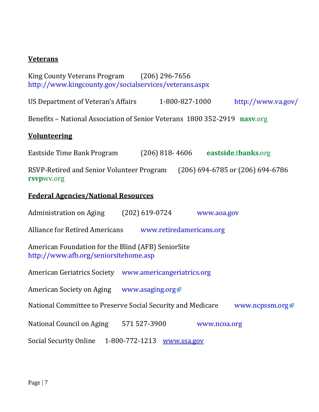### **Veterans**

King County Veterans Program (206) 296-7656 <http://www.kingcounty.gov/socialservices/veterans.aspx>

US Department of Veteran's Affairs 1-800-827-1000 <http://www.va.gov/>

Benefits – National Association of Senior Veterans 1800 352-2919 **nasv**.org

#### **Volunteering**

Eastside Time Bank Program (206) 818- 4606 **eastside**.t**banks**.org

RSVP-Retired and Senior Volunteer Program (206) 694-6785 or (206) 694-6786 **rsvp**wv.org

#### **Federal Agencies/National Resources**

Administration on Aging (202) 619-0724 [www.aoa.gov](../../../Parks_Shared/REC/NBCC/Cathy/www.aoa.gov)

Alliance for Retired Americans [www.retiredamericans.org](http://www.aoa.gov/AoARoot/Site_Utilities/Standard_External_Disclaimer.aspx?redirection=http://www.retiredamericans.org)

American Foundation for the Blind (AFB) SeniorSite [http://www.afb.org/seniorsitehome.asp](http://www.aoa.gov/AoARoot/Site_Utilities/Standard_External_Disclaimer.aspx?redirection=http://www.afb.org/seniorsitehome.asp) 

American Geriatrics Society [www.americangeriatrics.org](http://www.aoa.gov/AoARoot/Site_Utilities/Standard_External_Disclaimer.aspx?redirection=http://www.americangeriatrics.org)

American Society on Aging [www.asaging.org](http://www.aoa.gov/AoARoot/Site_Utilities/Standard_External_Disclaimer.aspx?redirection=http://www.asaging.org)

National Committee to Preserve Social Security and Medicare [www.ncpssm.org](http://www.aoa.gov/AoARoot/Site_Utilities/Standard_External_Disclaimer.aspx?redirection=http://www.ncpssm.org) P

National Council on Aging 571 527-3900 [www.ncoa.org](../../../Parks_Shared/REC/NBCC/Cathy/www.ncoa.org)

Social Security Online 1-800-772-1213 [www.ssa.gov](http://www.ssa.gov/)